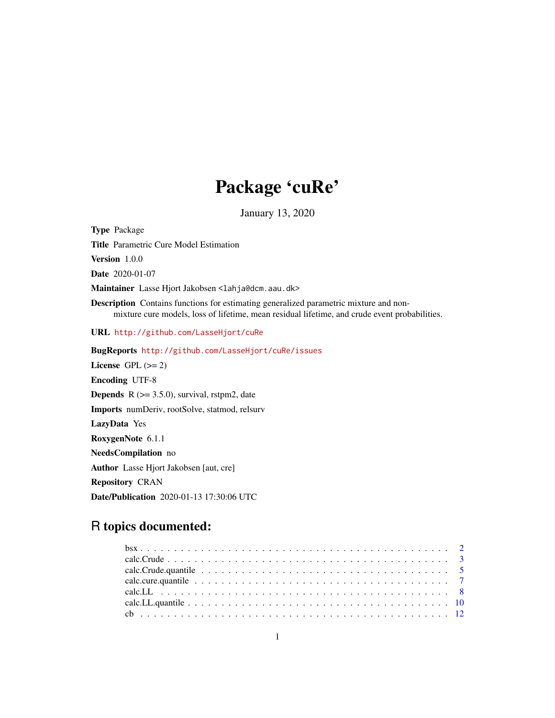# Package 'cuRe'

January 13, 2020

Type Package Title Parametric Cure Model Estimation Version 1.0.0 Date 2020-01-07 Maintainer Lasse Hjort Jakobsen <lahja@dcm.aau.dk> Description Contains functions for estimating generalized parametric mixture and nonmixture cure models, loss of lifetime, mean residual lifetime, and crude event probabilities. URL <http://github.com/LasseHjort/cuRe> BugReports <http://github.com/LasseHjort/cuRe/issues> License GPL  $(>= 2)$ Encoding UTF-8 **Depends** R  $(>= 3.5.0)$ , survival, rstpm2, date Imports numDeriv, rootSolve, statmod, relsurv LazyData Yes RoxygenNote 6.1.1 NeedsCompilation no Author Lasse Hjort Jakobsen [aut, cre] Repository CRAN

Date/Publication 2020-01-13 17:30:06 UTC

# R topics documented: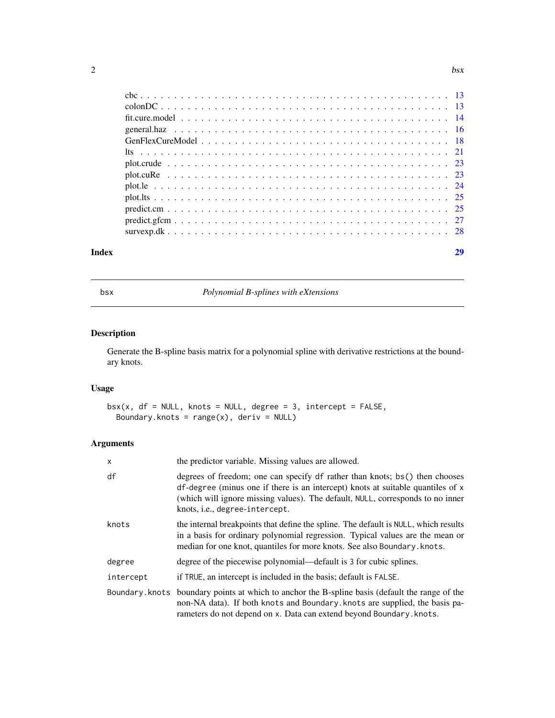<span id="page-1-0"></span>

| Index |  |
|-------|--|
|       |  |
|       |  |
|       |  |
|       |  |
|       |  |
|       |  |
|       |  |
|       |  |
|       |  |
|       |  |
|       |  |
|       |  |
|       |  |

bsx *Polynomial B-splines with eXtensions*

# Description

Generate the B-spline basis matrix for a polynomial spline with derivative restrictions at the boundary knots.

# Usage

```
bsx(x, df = NULL, knots = NULL, degree = 3, intercept = FALSE,Boundary.knots = range(x), deriv = NULL)
```

| x         | the predictor variable. Missing values are allowed.                                                                                                                                                                                                                                |
|-----------|------------------------------------------------------------------------------------------------------------------------------------------------------------------------------------------------------------------------------------------------------------------------------------|
| df        | degrees of freedom; one can specify df rather than knots; bs() then chooses<br>df-degree (minus one if there is an intercept) knots at suitable quantiles of x<br>(which will ignore missing values). The default, NULL, corresponds to no inner<br>knots, i.e., degree-intercept. |
| knots     | the internal breakpoints that define the spline. The default is NULL, which results<br>in a basis for ordinary polynomial regression. Typical values are the mean or<br>median for one knot, quantiles for more knots. See also Boundary. knots.                                   |
| degree    | degree of the piecewise polynomial—default is 3 for cubic splines.                                                                                                                                                                                                                 |
| intercept | if TRUE, an intercept is included in the basis; default is FALSE.                                                                                                                                                                                                                  |
|           | Boundary. knots boundary points at which to anchor the B-spline basis (default the range of the<br>non-NA data). If both knots and Boundary knots are supplied, the basis pa-<br>rameters do not depend on x. Data can extend beyond Boundary. knots.                              |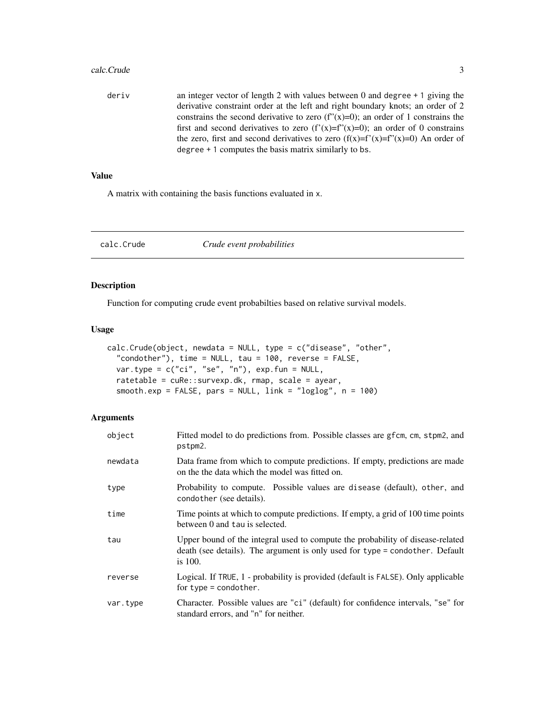#### <span id="page-2-0"></span>calc.Crude 3

deriv an integer vector of length 2 with values between 0 and degree + 1 giving the derivative constraint order at the left and right boundary knots; an order of 2 constrains the second derivative to zero (f" $(x)=0$ ); an order of 1 constrains the first and second derivatives to zero  $(f'(x)=f''(x)=0)$ ; an order of 0 constrains the zero, first and second derivatives to zero  $(f(x)=f'(x)=f'(x)=0)$  An order of degree + 1 computes the basis matrix similarly to bs.

# Value

A matrix with containing the basis functions evaluated in x.

calc.Crude *Crude event probabilities*

# Description

Function for computing crude event probabilties based on relative survival models.

#### Usage

```
calc.Crude(object, newdata = NULL, type = c("disease", "other",
  "condother"), time = NULL, tau = 100, reverse = FALSE,
  var.type = c("ci", "se", "n"), exp.fun = NULL,ratetable = cuRe::survexp.dk, rmap, scale = ayear,
  smooth.exp = FALSE, pars = NULL, link = "loglog", n = 100)
```

| object   | Fitted model to do predictions from. Possible classes are gfcm, cm, stpm2, and<br>pstpm2.                                                                                   |
|----------|-----------------------------------------------------------------------------------------------------------------------------------------------------------------------------|
| newdata  | Data frame from which to compute predictions. If empty, predictions are made<br>on the the data which the model was fitted on.                                              |
| type     | Probability to compute. Possible values are disease (default), other, and<br>condother (see details).                                                                       |
| time     | Time points at which to compute predictions. If empty, a grid of 100 time points<br>between 0 and tau is selected.                                                          |
| tau      | Upper bound of the integral used to compute the probability of disease-related<br>death (see details). The argument is only used for type = condother. Default<br>is $100.$ |
| reverse  | Logical. If TRUE, 1 - probability is provided (default is FALSE). Only applicable<br>for type = condother.                                                                  |
| var.type | Character. Possible values are "ci" (default) for confidence intervals, "se" for<br>standard errors, and "n" for neither.                                                   |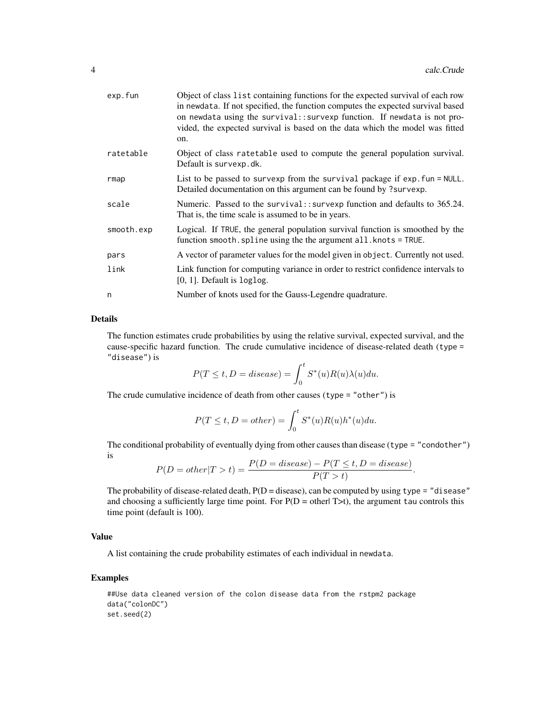| exp.fun    | Object of class list containing functions for the expected survival of each row<br>in newdata. If not specified, the function computes the expected survival based<br>on newdata using the survival:: survexp function. If newdata is not pro-<br>vided, the expected survival is based on the data which the model was fitted<br>on. |
|------------|---------------------------------------------------------------------------------------------------------------------------------------------------------------------------------------------------------------------------------------------------------------------------------------------------------------------------------------|
| ratetable  | Object of class ratetable used to compute the general population survival.<br>Default is survexp.dk.                                                                                                                                                                                                                                  |
| rmap       | List to be passed to survexp from the survival package if exp. fun = NULL.<br>Detailed documentation on this argument can be found by ?survexp.                                                                                                                                                                                       |
| scale      | Numeric. Passed to the survival:: survexp function and defaults to 365.24.<br>That is, the time scale is assumed to be in years.                                                                                                                                                                                                      |
| smooth.exp | Logical. If TRUE, the general population survival function is smoothed by the<br>function smooth. spline using the the argument all. knots = TRUE.                                                                                                                                                                                    |
| pars       | A vector of parameter values for the model given in object. Currently not used.                                                                                                                                                                                                                                                       |
| link       | Link function for computing variance in order to restrict confidence intervals to<br>$[0, 1]$ . Default is $loglog.$                                                                                                                                                                                                                  |
| n          | Number of knots used for the Gauss-Legendre quadrature.                                                                                                                                                                                                                                                                               |

# Details

The function estimates crude probabilities by using the relative survival, expected survival, and the cause-specific hazard function. The crude cumulative incidence of disease-related death (type = "disease") is

$$
P(T \le t, D = disease) = \int_0^t S^*(u)R(u)\lambda(u)du.
$$

The crude cumulative incidence of death from other causes (type = "other") is

$$
P(T \le t, D = other) = \int_0^t S^*(u)R(u)h^*(u)du.
$$

The conditional probability of eventually dying from other causes than disease (type = "condother") is

$$
P(D = other | T > t) = \frac{P(D = disease) - P(T \le t, D = disease)}{P(T > t)}.
$$

The probability of disease-related death,  $P(D = disease)$ , can be computed by using type = "disease" and choosing a sufficiently large time point. For  $P(D = \text{other} | T > t)$ , the argument tau controls this time point (default is 100).

#### Value

A list containing the crude probability estimates of each individual in newdata.

```
##Use data cleaned version of the colon disease data from the rstpm2 package
data("colonDC")
set.seed(2)
```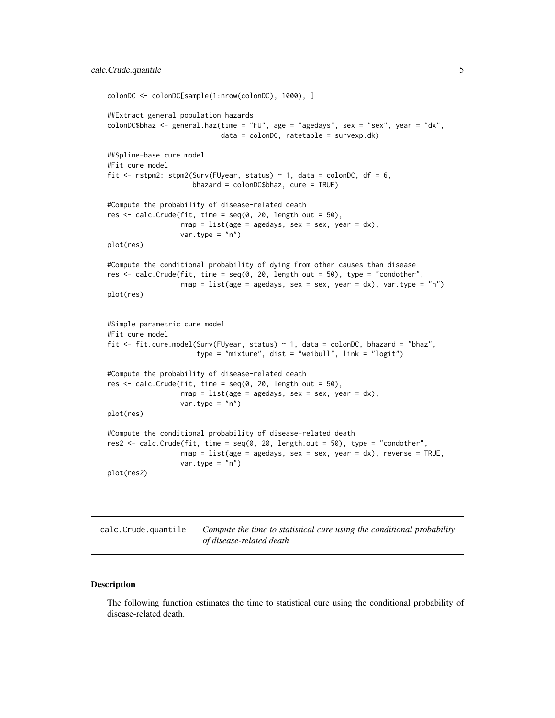```
colonDC <- colonDC[sample(1:nrow(colonDC), 1000), ]
##Extract general population hazards
colonDC$bhaz <- general.haz(time = "FU", age = "agedays", sex = "sex", year = "dx",
                            data = colonDC, ratetable = survexp.dk)
##Spline-base cure model
#Fit cure model
fit \le rstpm2::stpm2(Surv(FUyear, status) \sim 1, data = colonDC, df = 6,
                     bhazard = colonDC$bhaz, cure = TRUE)
#Compute the probability of disease-related death
res \le calc. Crude(fit, time = seq(0, 20, length.out = 50),
                  rmap = list(age = agedays, sex = sex, year = dx),var.type = "n")
plot(res)
#Compute the conditional probability of dying from other causes than disease
res <- calc.Crude(fit, time = seq(0, 20, length.out = 50), type = "condother",
                  rmap = list(age = agedays, sex = sex, year = dx), var.type = nn)
plot(res)
#Simple parametric cure model
#Fit cure model
fit <- fit.cure.model(Surv(FUyear, status) ~ 1, data = colonDC, bhazard = "bhaz",
                      type = "mixture", dist = "weibull", link = "logit")
#Compute the probability of disease-related death
res \le calc. Crude(fit, time = seq(0, 20, length.out = 50),
                  rmap = list(age = agedays, sex = sex, year = dx),var.type = "n")
plot(res)
#Compute the conditional probability of disease-related death
res2 <- calc.Crude(fit, time = seq(0, 20, length.out = 50), type = "condother",
                  rmap = list(age = agedays, sex = sex, year = dx), reverse = TRUE,var.type = "n")plot(res2)
```
calc.Crude.quantile *Compute the time to statistical cure using the conditional probability of disease-related death*

#### **Description**

The following function estimates the time to statistical cure using the conditional probability of disease-related death.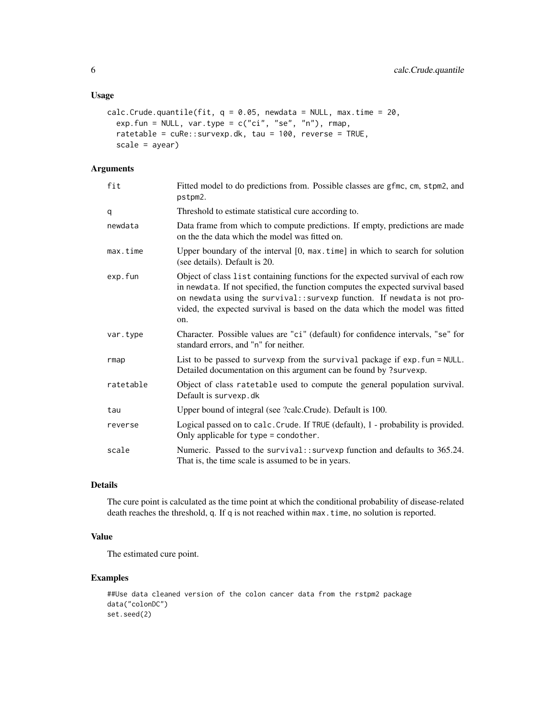# Usage

```
calc.Crude.quantile(fit, q = 0.05, newdata = NULL, max.time = 20,
 exp.fun = NULL, var.type = c("ci", "se", "n"), rmap,
  ratetable = cuRe::survexp.dk, tau = 100, reverse = TRUE,
 scale = ayear)
```
# Arguments

| fit       | Fitted model to do predictions from. Possible classes are gfmc, cm, stpm2, and<br>pstpm2.                                                                                                                                                                                                                                             |
|-----------|---------------------------------------------------------------------------------------------------------------------------------------------------------------------------------------------------------------------------------------------------------------------------------------------------------------------------------------|
| q         | Threshold to estimate statistical cure according to.                                                                                                                                                                                                                                                                                  |
| newdata   | Data frame from which to compute predictions. If empty, predictions are made<br>on the the data which the model was fitted on.                                                                                                                                                                                                        |
| max.time  | Upper boundary of the interval $[0, \text{max.time}]$ in which to search for solution<br>(see details). Default is 20.                                                                                                                                                                                                                |
| exp.fun   | Object of class list containing functions for the expected survival of each row<br>in newdata. If not specified, the function computes the expected survival based<br>on newdata using the survival:: survexp function. If newdata is not pro-<br>vided, the expected survival is based on the data which the model was fitted<br>on. |
| var.type  | Character. Possible values are "ci" (default) for confidence intervals, "se" for<br>standard errors, and "n" for neither.                                                                                                                                                                                                             |
| rmap      | List to be passed to survexp from the survival package if exp. fun = NULL.<br>Detailed documentation on this argument can be found by ?survexp.                                                                                                                                                                                       |
| ratetable | Object of class ratetable used to compute the general population survival.<br>Default is survexp.dk                                                                                                                                                                                                                                   |
| tau       | Upper bound of integral (see ?calc.Crude). Default is 100.                                                                                                                                                                                                                                                                            |
| reverse   | Logical passed on to calc. Crude. If TRUE (default), 1 - probability is provided.<br>Only applicable for type = condother.                                                                                                                                                                                                            |
| scale     | Numeric. Passed to the survival:: survexp function and defaults to 365.24.<br>That is, the time scale is assumed to be in years.                                                                                                                                                                                                      |

# Details

The cure point is calculated as the time point at which the conditional probability of disease-related death reaches the threshold, q. If q is not reached within max.time, no solution is reported.

# Value

The estimated cure point.

```
##Use data cleaned version of the colon cancer data from the rstpm2 package
data("colonDC")
set.seed(2)
```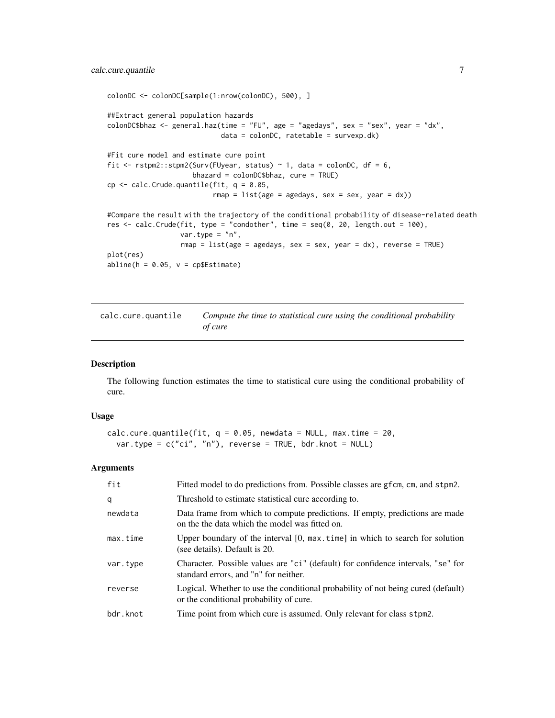```
colonDC <- colonDC[sample(1:nrow(colonDC), 500), ]
##Extract general population hazards
colonDC$bhaz <- general.haz(time = "FU", age = "agedays", sex = "sex", year = "dx",
                            data = colonDC, ratetable = survexp.dk)
#Fit cure model and estimate cure point
fit \le rstpm2::stpm2(Surv(FUyear, status) \sim 1, data = colonDC, df = 6,
                     bhazard = colonDC$bhaz, cure = TRUE)
cp \leq - \text{calc.Crude.}quantile(fit, q = 0.05,
                           rmap = list(age = agedays, sex = sex, year = dx))#Compare the result with the trajectory of the conditional probability of disease-related death
res \le calc. Crude(fit, type = "condother", time = seq(0, 20, length.out = 100),
                  var.type = "n",
                  rmap = list(age = agedays, sex = sex, year = dx), reverse = TRUE)
plot(res)
abline(h = 0.05, v = cp$Estimate)
```
calc.cure.quantile *Compute the time to statistical cure using the conditional probability of cure*

# Description

The following function estimates the time to statistical cure using the conditional probability of cure.

#### Usage

```
calc.cure.quantile(fit, q = 0.05, newdata = NULL, max.time = 20,
  var.type = c("ci", "n"), reverse = TRUE, bdr.knot = NULL)
```

| fit      | Fitted model to do predictions from. Possible classes are gfcm, cm, and stpm2.                                                 |
|----------|--------------------------------------------------------------------------------------------------------------------------------|
| q        | Threshold to estimate statistical cure according to.                                                                           |
| newdata  | Data frame from which to compute predictions. If empty, predictions are made<br>on the the data which the model was fitted on. |
| max.time | Upper boundary of the interval $[0, \text{max.time}]$ in which to search for solution<br>(see details). Default is 20.         |
| var.type | Character. Possible values are "ci" (default) for confidence intervals, "se" for<br>standard errors, and "n" for neither.      |
| reverse  | Logical. Whether to use the conditional probability of not being cured (default)<br>or the conditional probability of cure.    |
| bdr.knot | Time point from which cure is assumed. Only relevant for class stpm2.                                                          |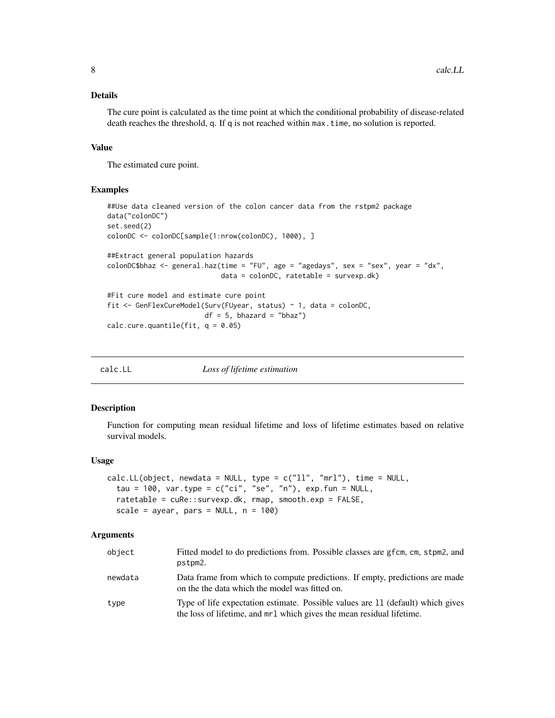# <span id="page-7-0"></span>Details

The cure point is calculated as the time point at which the conditional probability of disease-related death reaches the threshold, q. If q is not reached within max.time, no solution is reported.

#### Value

The estimated cure point.

#### Examples

```
##Use data cleaned version of the colon cancer data from the rstpm2 package
data("colonDC")
set.seed(2)
colonDC <- colonDC[sample(1:nrow(colonDC), 1000), ]
##Extract general population hazards
colonDC$bhaz <- general.haz(time = "FU", age = "agedays", sex = "sex", year = "dx",
                            data = colonDC, ratetable = survexp.dk)
#Fit cure model and estimate cure point
fit <- GenFlexCureModel(Surv(FUyear, status) ~ 1, data = colonDC,
                       df = 5, bhazard = "bhaz")
calc.cure.quantile(fit, q = 0.05)
```

| calc.LL | Loss of lifetime estimation |  |
|---------|-----------------------------|--|
|---------|-----------------------------|--|

#### Description

Function for computing mean residual lifetime and loss of lifetime estimates based on relative survival models.

#### Usage

```
calc.LL(object, newdata = NULL, type = c("11", "mr1"), time = NULL,tau = 100, var.type = c("ci", "se", "n"), exp.fun = NULL,ratetable = cuRe::survexp.dk, rmap, smooth.exp = FALSE,
  scale = ayear, pars = NULL, n = 100)
```

| object  | Fitted model to do predictions from. Possible classes are gfcm, cm, stpm2, and<br>pstpm2.                                                                |
|---------|----------------------------------------------------------------------------------------------------------------------------------------------------------|
| newdata | Data frame from which to compute predictions. If empty, predictions are made<br>on the the data which the model was fitted on.                           |
| type    | Type of life expectation estimate. Possible values are 11 (default) which gives<br>the loss of lifetime, and mrl which gives the mean residual lifetime. |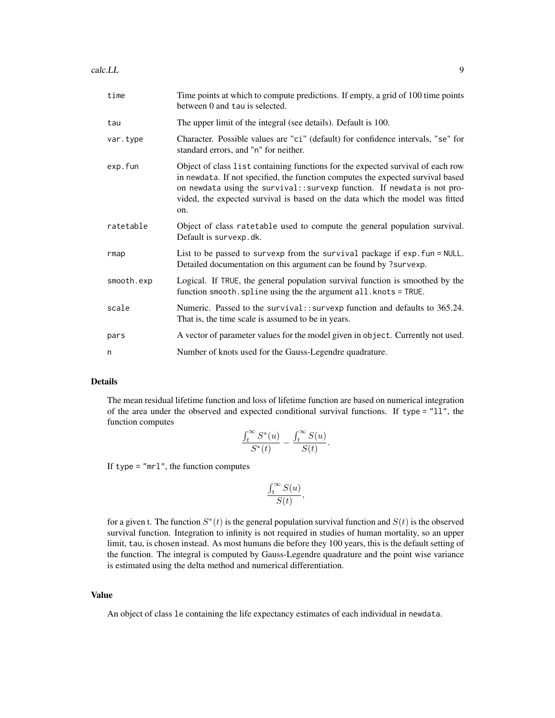#### calc.LL 9

| time       | Time points at which to compute predictions. If empty, a grid of 100 time points<br>between 0 and tau is selected.                                                                                                                                                                                                                    |
|------------|---------------------------------------------------------------------------------------------------------------------------------------------------------------------------------------------------------------------------------------------------------------------------------------------------------------------------------------|
| tau        | The upper limit of the integral (see details). Default is 100.                                                                                                                                                                                                                                                                        |
| var.type   | Character. Possible values are "ci" (default) for confidence intervals, "se" for<br>standard errors, and "n" for neither.                                                                                                                                                                                                             |
| exp.fun    | Object of class list containing functions for the expected survival of each row<br>in newdata. If not specified, the function computes the expected survival based<br>on newdata using the survival:: survexp function. If newdata is not pro-<br>vided, the expected survival is based on the data which the model was fitted<br>on. |
| ratetable  | Object of class ratetable used to compute the general population survival.<br>Default is survexp.dk.                                                                                                                                                                                                                                  |
| rmap       | List to be passed to survexp from the survival package if exp. fun = NULL.<br>Detailed documentation on this argument can be found by ?survexp.                                                                                                                                                                                       |
| smooth.exp | Logical. If TRUE, the general population survival function is smoothed by the<br>function smooth. spline using the the argument all. knots = TRUE.                                                                                                                                                                                    |
| scale      | Numeric. Passed to the survival:: survexp function and defaults to 365.24.<br>That is, the time scale is assumed to be in years.                                                                                                                                                                                                      |
| pars       | A vector of parameter values for the model given in object. Currently not used.                                                                                                                                                                                                                                                       |
| n          | Number of knots used for the Gauss-Legendre quadrature.                                                                                                                                                                                                                                                                               |

# Details

The mean residual lifetime function and loss of lifetime function are based on numerical integration of the area under the observed and expected conditional survival functions. If type = "ll", the function computes

$$
\frac{\int_t^\infty S^*(u)}{S^*(t)} - \frac{\int_t^\infty S(u)}{S(t)}.
$$

If type  $=$  " $mrl$ ", the function computes

$$
\frac{\int_t^\infty S(u)}{S(t)},
$$

for a given t. The function  $S^*(t)$  is the general population survival function and  $S(t)$  is the observed survival function. Integration to infinity is not required in studies of human mortality, so an upper limit, tau, is chosen instead. As most humans die before they 100 years, this is the default setting of the function. The integral is computed by Gauss-Legendre quadrature and the point wise variance is estimated using the delta method and numerical differentiation.

# Value

An object of class le containing the life expectancy estimates of each individual in newdata.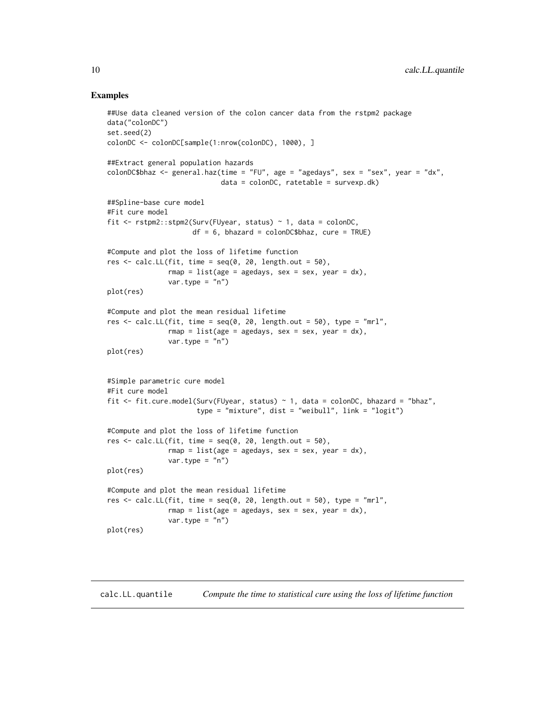#### Examples

```
##Use data cleaned version of the colon cancer data from the rstpm2 package
data("colonDC")
set.seed(2)
colonDC <- colonDC[sample(1:nrow(colonDC), 1000), ]
##Extract general population hazards
colonDC$bhaz <- general.haz(time = "FU", age = "agedays", sex = "sex", year = "dx",
                            data = colonDC, ratetable = survexp.dk)
##Spline-base cure model
#Fit cure model
fit <- rstpm2::stpm2(Surv(FUyear, status) ~ 1, data = colonDC,
                     df = 6, bhazard = colonDC$bhaz, cure = TRUE)
#Compute and plot the loss of lifetime function
res \le calc.LL(fit, time = seq(0, 20, length.out = 50),
               rmap = list(age = agedays, sex = sex, year = dx),var.type = "n")plot(res)
#Compute and plot the mean residual lifetime
res \le calc. LL(fit, time = seq(0, 20, length.out = 50), type = "mrl",
               rmap = list(age = agedays, sex = sex, year = dx),var.type = "n")
plot(res)
#Simple parametric cure model
#Fit cure model
fit <- fit.cure.model(Surv(FUyear, status) ~ 1, data = colonDC, bhazard = "bhaz",
                      type = "mixture", dist = "weibull", link = "logit")
#Compute and plot the loss of lifetime function
res \le calc.LL(fit, time = seq(0, 20, length.out = 50),
               rmap = list(age = agedays, sex = sex, year = dx),var.type = "n")
plot(res)
#Compute and plot the mean residual lifetime
res \le calc. LL(fit, time = seq(0, 20, length.out = 50), type = "mrl",
               rmap = list(age = agedays, sex = sex, year = dx),var.type = "n")plot(res)
```
calc.LL.quantile *Compute the time to statistical cure using the loss of lifetime function*

<span id="page-9-0"></span>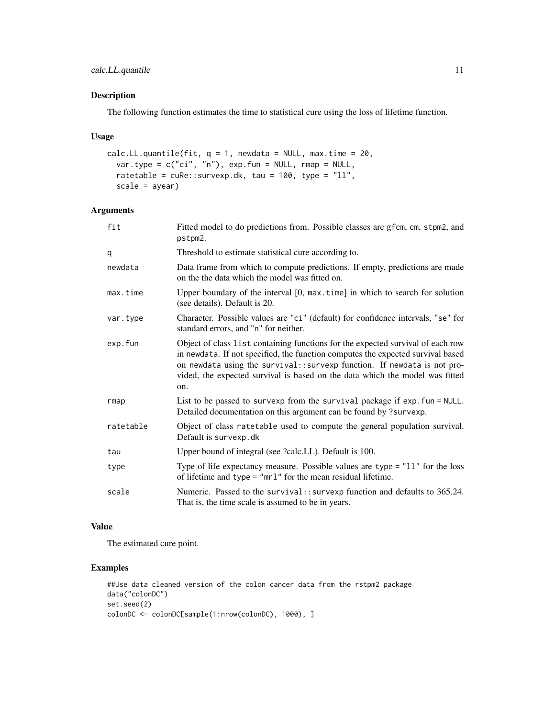The following function estimates the time to statistical cure using the loss of lifetime function.

#### Usage

```
calc.LL.quantile(fit, q = 1, newdata = NULL, max.time = 20,
 var.type = c("ci", "n"), exp.fun = NULL, rmap = NULL,
 ratetable = cuRe::survexp.dk, tau = 100, type = "ll",scale = ayear)
```
### Arguments

| fit       | Fitted model to do predictions from. Possible classes are gfcm, cm, stpm2, and<br>pstpm2.                                                                                                                                                                                                                                             |
|-----------|---------------------------------------------------------------------------------------------------------------------------------------------------------------------------------------------------------------------------------------------------------------------------------------------------------------------------------------|
| q         | Threshold to estimate statistical cure according to.                                                                                                                                                                                                                                                                                  |
| newdata   | Data frame from which to compute predictions. If empty, predictions are made<br>on the the data which the model was fitted on.                                                                                                                                                                                                        |
| max.time  | Upper boundary of the interval $[0, \text{max.time}]$ in which to search for solution<br>(see details). Default is 20.                                                                                                                                                                                                                |
| var.type  | Character. Possible values are "ci" (default) for confidence intervals, "se" for<br>standard errors, and "n" for neither.                                                                                                                                                                                                             |
| exp.fun   | Object of class list containing functions for the expected survival of each row<br>in newdata. If not specified, the function computes the expected survival based<br>on newdata using the survival:: survexp function. If newdata is not pro-<br>vided, the expected survival is based on the data which the model was fitted<br>on. |
| rmap      | List to be passed to survexp from the survival package if exp. fun = NULL.<br>Detailed documentation on this argument can be found by ?survexp.                                                                                                                                                                                       |
| ratetable | Object of class ratetable used to compute the general population survival.<br>Default is survexp.dk                                                                                                                                                                                                                                   |
| tau       | Upper bound of integral (see ?calc.LL). Default is 100.                                                                                                                                                                                                                                                                               |
| type      | Type of life expectancy measure. Possible values are type $=$ "11" for the loss<br>of lifetime and type = " $mrl$ " for the mean residual lifetime.                                                                                                                                                                                   |
| scale     | Numeric. Passed to the survival:: survexp function and defaults to 365.24.<br>That is, the time scale is assumed to be in years.                                                                                                                                                                                                      |

#### Value

The estimated cure point.

```
##Use data cleaned version of the colon cancer data from the rstpm2 package
data("colonDC")
set.seed(2)
colonDC <- colonDC[sample(1:nrow(colonDC), 1000), ]
```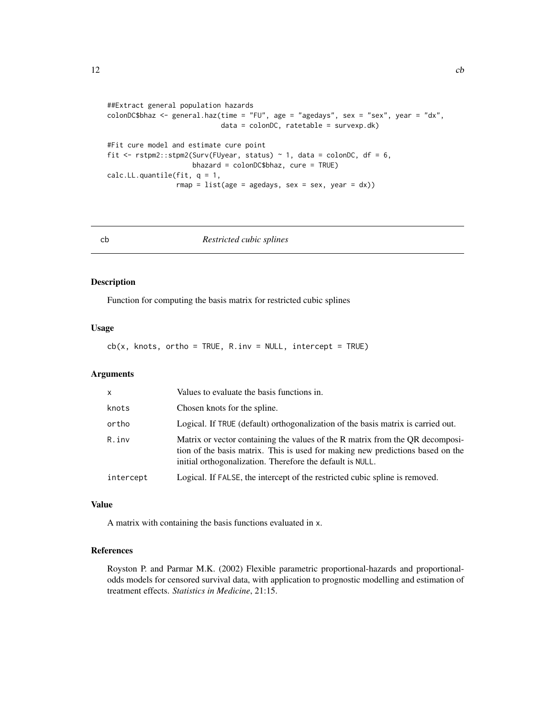```
##Extract general population hazards
colonDC$bhaz <- general.haz(time = "FU", age = "agedays", sex = "sex", year = "dx",
                            data = colonDC, ratetable = survexp.dk)
#Fit cure model and estimate cure point
fit \le rstpm2::stpm2(Surv(FUyear, status) \sim 1, data = colonDC, df = 6,
                    bhazard = colonDC$bhaz, cure = TRUE)
calc.LL.quantile(fit, q = 1,
                 rmap = list(age = agedays, sex = sex, year = dx))
```

```
cb Restricted cubic splines
```
Function for computing the basis matrix for restricted cubic splines

# Usage

 $cb(x, knots, ortho = TRUE, R.inv = NULL, intercept = TRUE)$ 

# Arguments

| $\mathsf{x}$ | Values to evaluate the basis functions in.                                                                                                                                                                                   |
|--------------|------------------------------------------------------------------------------------------------------------------------------------------------------------------------------------------------------------------------------|
| knots        | Chosen knots for the spline.                                                                                                                                                                                                 |
| ortho        | Logical. If TRUE (default) orthogonalization of the basis matrix is carried out.                                                                                                                                             |
| R.inv        | Matrix or vector containing the values of the R matrix from the QR decomposi-<br>tion of the basis matrix. This is used for making new predictions based on the<br>initial orthogonalization. Therefore the default is NULL. |
| intercept    | Logical. If FALSE, the intercept of the restricted cubic spline is removed.                                                                                                                                                  |

#### Value

A matrix with containing the basis functions evaluated in x.

#### References

Royston P. and Parmar M.K. (2002) Flexible parametric proportional-hazards and proportionalodds models for censored survival data, with application to prognostic modelling and estimation of treatment effects. *Statistics in Medicine*, 21:15.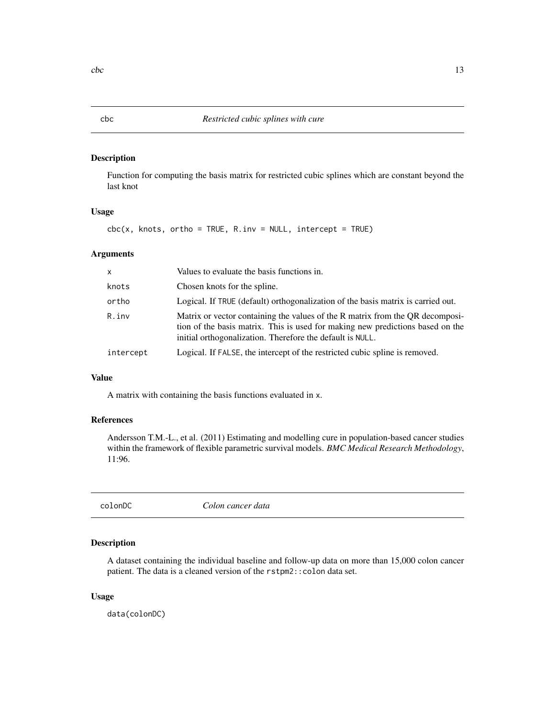Function for computing the basis matrix for restricted cubic splines which are constant beyond the last knot

#### Usage

 $\text{cbc}(x, \text{ knots}, \text{ortho} = \text{TRUE}, \text{ R.inv} = \text{NULL}, \text{intercept} = \text{TRUE})$ 

# Arguments

| $\mathsf{x}$ | Values to evaluate the basis functions in.                                                                                                                                                                                   |
|--------------|------------------------------------------------------------------------------------------------------------------------------------------------------------------------------------------------------------------------------|
| knots        | Chosen knots for the spline.                                                                                                                                                                                                 |
| ortho        | Logical. If TRUE (default) orthogonalization of the basis matrix is carried out.                                                                                                                                             |
| R.inv        | Matrix or vector containing the values of the R matrix from the QR decomposi-<br>tion of the basis matrix. This is used for making new predictions based on the<br>initial orthogonalization. Therefore the default is NULL. |
| intercept    | Logical. If FALSE, the intercept of the restricted cubic spline is removed.                                                                                                                                                  |

#### Value

A matrix with containing the basis functions evaluated in x.

# References

Andersson T.M.-L., et al. (2011) Estimating and modelling cure in population-based cancer studies within the framework of flexible parametric survival models. *BMC Medical Research Methodology*, 11:96.

colonDC *Colon cancer data*

# Description

A dataset containing the individual baseline and follow-up data on more than 15,000 colon cancer patient. The data is a cleaned version of the rstpm2::colon data set.

#### Usage

data(colonDC)

<span id="page-12-0"></span>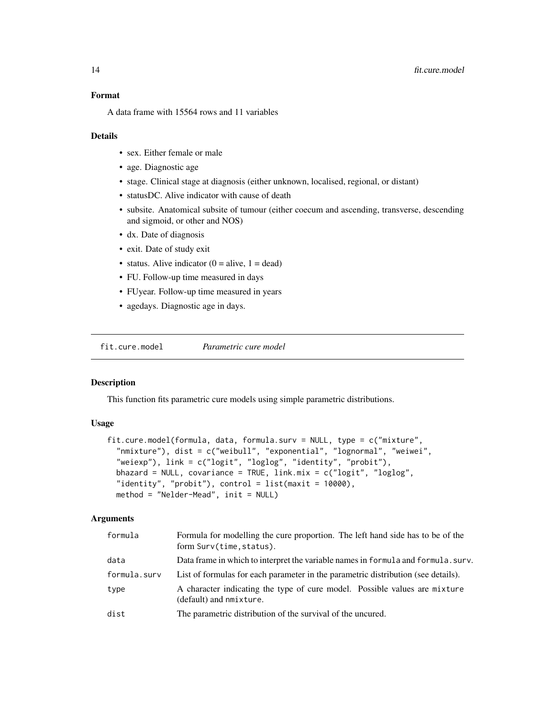<span id="page-13-0"></span>A data frame with 15564 rows and 11 variables

#### Details

- sex. Either female or male
- age. Diagnostic age
- stage. Clinical stage at diagnosis (either unknown, localised, regional, or distant)
- statusDC. Alive indicator with cause of death
- subsite. Anatomical subsite of tumour (either coecum and ascending, transverse, descending and sigmoid, or other and NOS)
- dx. Date of diagnosis
- exit. Date of study exit
- status. Alive indicator  $(0 = alive, 1 = dead)$
- FU. Follow-up time measured in days
- FUyear. Follow-up time measured in years
- agedays. Diagnostic age in days.

fit.cure.model *Parametric cure model*

#### Description

This function fits parametric cure models using simple parametric distributions.

# Usage

```
fit.cure.model(formula, data, formula.surv = NULL, type = c("mixture",
  "nmixture"), dist = c("weibull", "exponential", "lognormal", "weiwei",
  "weiexp"), link = c("logit", "loglog", "identity", "probit"),
  bhazard = NULL, covariance = TRUE, link.mix = c("logit", "loglog",
  "identity", "probit"), control = list(maxit = 10000),
 method = "Nelder-Mead", init = NULL)
```

| formula      | Formula for modelling the cure proportion. The left hand side has to be of the<br>form Surv(time, status). |  |
|--------------|------------------------------------------------------------------------------------------------------------|--|
| data         | Data frame in which to interpret the variable names in formula and formula, surv.                          |  |
| formula.surv | List of formulas for each parameter in the parametric distribution (see details).                          |  |
| type         | A character indicating the type of cure model. Possible values are mixture<br>(default) and nmixture.      |  |
| dist         | The parametric distribution of the survival of the uncured.                                                |  |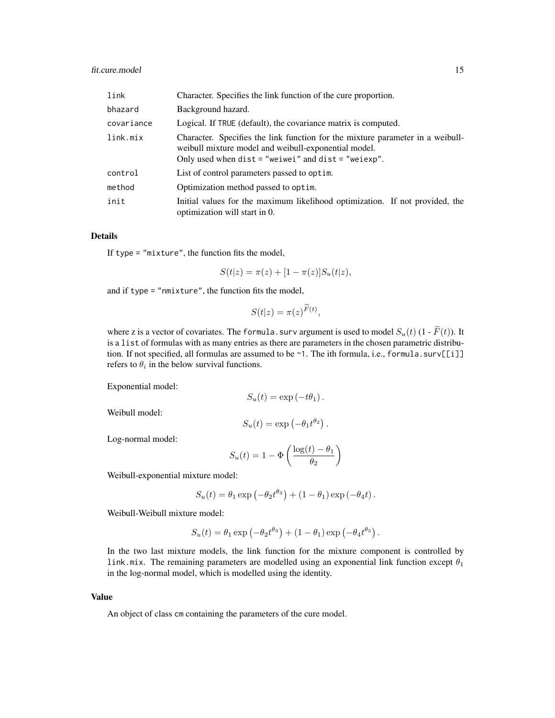# fit.cure.model 15

| link       | Character. Specifies the link function of the cure proportion.                                                                                                                                    |  |
|------------|---------------------------------------------------------------------------------------------------------------------------------------------------------------------------------------------------|--|
| bhazard    | Background hazard.                                                                                                                                                                                |  |
| covariance | Logical. If TRUE (default), the covariance matrix is computed.                                                                                                                                    |  |
| link.mix   | Character. Specifies the link function for the mixture parameter in a weibull-<br>weibull mixture model and weibull-exponential model.<br>Only used when $dist = "weivei"$ and $dist = "weievp".$ |  |
| control    | List of control parameters passed to optim.                                                                                                                                                       |  |
| method     | Optimization method passed to optim.                                                                                                                                                              |  |
| init       | Initial values for the maximum likelihood optimization. If not provided, the<br>optimization will start in 0.                                                                                     |  |

# Details

If type  $=$  "mixture", the function fits the model,

$$
S(t|z) = \pi(z) + [1 - \pi(z)]S_u(t|z),
$$

and if type = "nmixture", the function fits the model,

$$
S(t|z) = \pi(z)^{\widetilde{F}(t)},
$$

 $\overline{a}$ 

where z is a vector of covariates. The formula. surv argument is used to model  $S_u(t)$  (1 -  $\widetilde{F}(t)$ ). It is a list of formulas with as many entries as there are parameters in the chosen parametric distribution. If not specified, all formulas are assumed to be  $\sim$  1. The ith formula, i.e., formula.surv[[i]] refers to  $\theta_i$  in the below survival functions.

Exponential model:

$$
S_u(t) = \exp(-t\theta_1).
$$

Weibull model:

$$
S_u(t) = \exp(-\theta_1 t^{\theta_2}).
$$

Log-normal model:

$$
S_u(t) = 1 - \Phi\left(\frac{\log(t) - \theta_1}{\theta_2}\right)
$$

Weibull-exponential mixture model:

$$
S_u(t) = \theta_1 \exp \left(-\theta_2 t^{\theta_3}\right) + (1 - \theta_1) \exp \left(-\theta_4 t\right).
$$

Weibull-Weibull mixture model:

$$
S_u(t) = \theta_1 \exp(-\theta_2 t^{\theta_3}) + (1 - \theta_1) \exp(-\theta_4 t^{\theta_5}).
$$

In the two last mixture models, the link function for the mixture component is controlled by link.mix. The remaining parameters are modelled using an exponential link function except  $\theta_1$ in the log-normal model, which is modelled using the identity.

#### Value

An object of class cm containing the parameters of the cure model.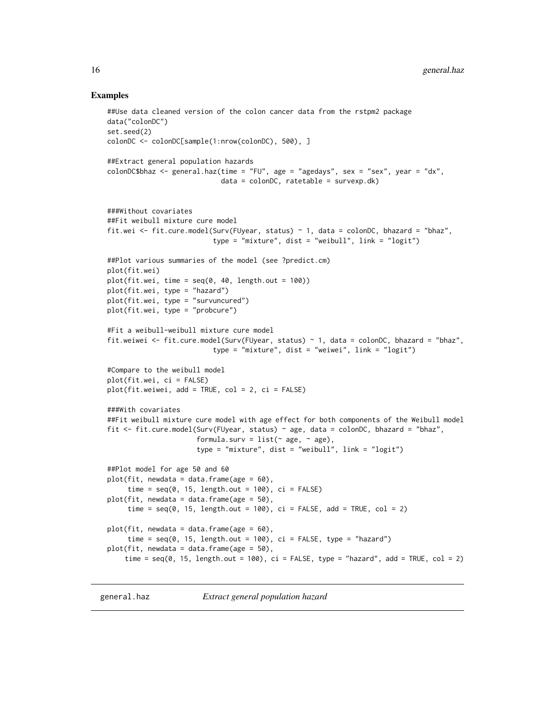#### Examples

```
##Use data cleaned version of the colon cancer data from the rstpm2 package
data("colonDC")
set.seed(2)
colonDC <- colonDC[sample(1:nrow(colonDC), 500), ]
##Extract general population hazards
colonDC$bhaz <- general.haz(time = "FU", age = "agedays", sex = "sex", year = "dx",
                            data = colonDC, ratetable = survexp.dk)
###Without covariates
##Fit weibull mixture cure model
fit.wei <- fit.cure.model(Surv(FUyear, status) ~ 1, data = colonDC, bhazard = "bhaz",
                          type = "mixture", dist = "weibull", link = "logit")
##Plot various summaries of the model (see ?predict.cm)
plot(fit.wei)
plot(fit.wei, time = seq(0, 40, length.out = 100))plot(fit.wei, type = "hazard")
plot(fit.wei, type = "survuncured")
plot(fit.wei, type = "probcure")
#Fit a weibull-weibull mixture cure model
fit.weiwei <- fit.cure.model(Surv(FUyear, status) ~ 1, data = colonDC, bhazard = "bhaz",
                          type = "mixture", dist = "weiwei", link = "logit")
#Compare to the weibull model
plot(fit.wei, ci = FALSE)
plot(fit.weiwei, add = TRUE, col = 2, ci = FALSE)
###With covariates
##Fit weibull mixture cure model with age effect for both components of the Weibull model
fit <- fit.cure.model(Surv(FUyear, status) ~ age, data = colonDC, bhazard = "bhaz",
                      formula.surv = list(\sim age, \sim age),
                      type = "mixture", dist = "weibull", link = "logit")
##Plot model for age 50 and 60
plot(fit, newdata = data.frame(age = 60),
     time = seq(0, 15, length.out = 100), ci = FALSE)plot(fit, newdata = data.frame(age = 50),
     time = seq(0, 15, length.out = 100), ci = FALSE, add = TRUE, col = 2)plot(fit, newdata = data.frame(age = 60),
     time = seq(0, 15, length.out = 100), ci = FALSE, type = "hazard")plot(fit, newdata = data.frame(age = 50),
    time = seq(0, 15, length.out = 100), ci = FALSE, type = "hazard", add = TRUE, col = 2)
```
general.haz *Extract general population hazard*

<span id="page-15-0"></span>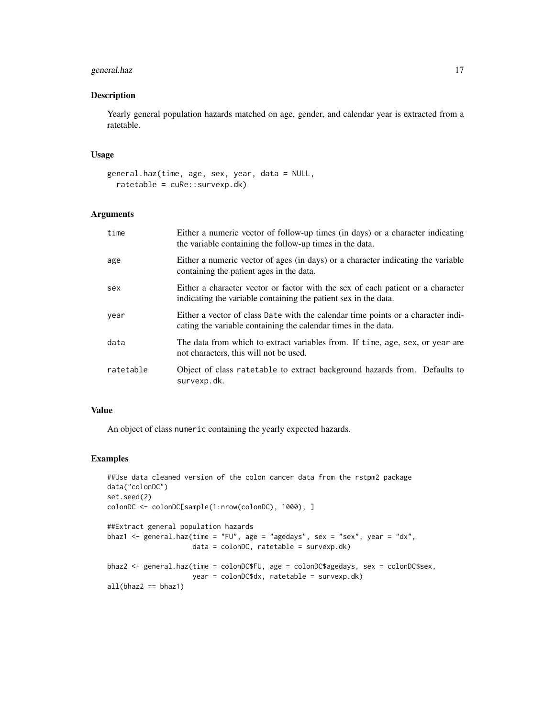# general.haz 17

# Description

Yearly general population hazards matched on age, gender, and calendar year is extracted from a ratetable.

## Usage

```
general.haz(time, age, sex, year, data = NULL,
 ratetable = cuRe::survexp.dk)
```
# Arguments

| time      | Either a numeric vector of follow-up times (in days) or a character indicating<br>the variable containing the follow-up times in the data.         |
|-----------|----------------------------------------------------------------------------------------------------------------------------------------------------|
| age       | Either a numeric vector of ages (in days) or a character indicating the variable<br>containing the patient ages in the data.                       |
| sex       | Either a character vector or factor with the sex of each patient or a character<br>indicating the variable containing the patient sex in the data. |
| year      | Either a vector of class Date with the calendar time points or a character indi-<br>cating the variable containing the calendar times in the data. |
| data      | The data from which to extract variables from. If time, age, sex, or year are<br>not characters, this will not be used.                            |
| ratetable | Object of class ratetable to extract background hazards from. Defaults to<br>survexp.dk.                                                           |

# Value

An object of class numeric containing the yearly expected hazards.

```
##Use data cleaned version of the colon cancer data from the rstpm2 package
data("colonDC")
set.seed(2)
colonDC <- colonDC[sample(1:nrow(colonDC), 1000), ]
##Extract general population hazards
bhaz1 <- general.haz(time = "FU", age = "agedays", sex = "sex", year = "dx",
                    data = colonDC, ratetable = survexp.dk)
bhaz2 <- general.haz(time = colonDC$FU, age = colonDC$agedays, sex = colonDC$sex,
                     year = colonDC$dx, ratetable = survexp.dk)
all(bhaz2 == bhaz1)
```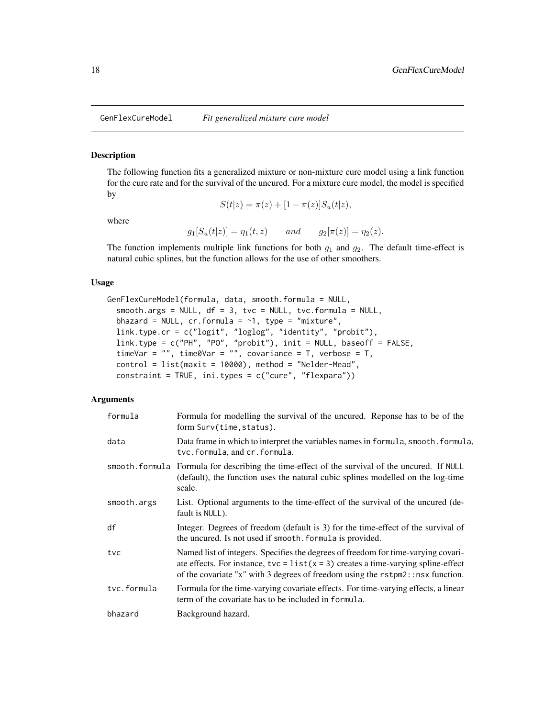<span id="page-17-0"></span>

The following function fits a generalized mixture or non-mixture cure model using a link function for the cure rate and for the survival of the uncured. For a mixture cure model, the model is specified by

 $S(t|z) = \pi(z) + [1 - \pi(z)]S_u(t|z),$ 

where

 $g_1[S_u(t|z)] = \eta_1(t, z)$  and  $g_2[\pi(z)] = \eta_2(z)$ .

The function implements multiple link functions for both  $g_1$  and  $g_2$ . The default time-effect is natural cubic splines, but the function allows for the use of other smoothers.

#### Usage

```
GenFlexCureModel(formula, data, smooth.formula = NULL,
  smooth.args = NULL, df = 3, tvc = NULL, tvc.formal = NULL,bhazard = NULL, cr.formula = -1, type = "mixture",
 link.type.cr = c("logit", "loglog", "identity", "probit"),
  link.type = c("PH", "PO", "probit"), init = NULL, baseoff = FALSE,
  timeVar = ", time0Var = ", covariance = T, verbose = T,
  control = list(maxit = 10000), method = "Nelder-Mead",
  constant = TRUE, ini.types = c("cure", "flexpara"))
```

| formula     | Formula for modelling the survival of the uncured. Reponse has to be of the<br>form Surv(time, status).                                                                                                                                                                       |  |
|-------------|-------------------------------------------------------------------------------------------------------------------------------------------------------------------------------------------------------------------------------------------------------------------------------|--|
| data        | Data frame in which to interpret the variables names in formula, smooth. formula,<br>tvc.formula, and cr.formula.                                                                                                                                                             |  |
|             | smooth formula Formula for describing the time-effect of the survival of the uncured. If NULL<br>(default), the function uses the natural cubic splines modelled on the log-time<br>scale.                                                                                    |  |
| smooth.args | List. Optional arguments to the time-effect of the survival of the uncured (de-<br>fault is NULL).                                                                                                                                                                            |  |
| df          | Integer. Degrees of freedom (default is 3) for the time-effect of the survival of<br>the uncured. Is not used if smooth. formula is provided.                                                                                                                                 |  |
| tvc         | Named list of integers. Specifies the degrees of freedom for time-varying covari-<br>ate effects. For instance, $\text{tvc} = \text{list}(x = 3)$ creates a time-varying spline-effect<br>of the covariate "x" with 3 degrees of freedom using the $rstpm2$ : : nsx function. |  |
| tvc.formula | Formula for the time-varying covariate effects. For time-varying effects, a linear<br>term of the covariate has to be included in formula.                                                                                                                                    |  |
| bhazard     | Background hazard.                                                                                                                                                                                                                                                            |  |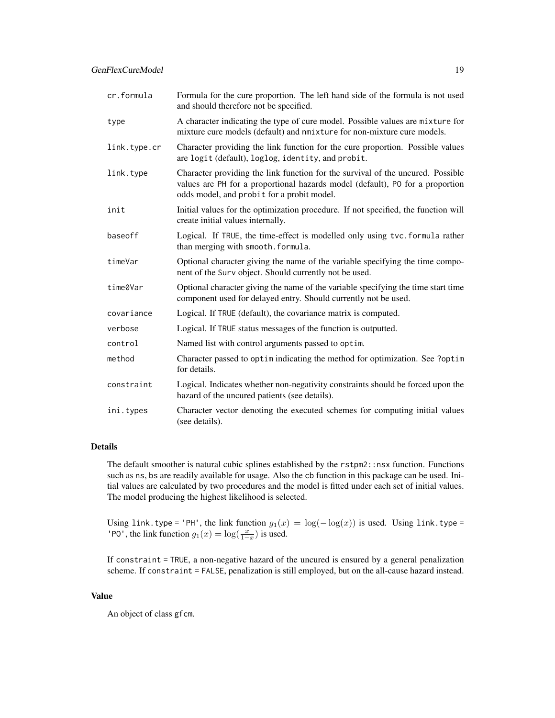| cr.formula   | Formula for the cure proportion. The left hand side of the formula is not used<br>and should therefore not be specified.                                                                                       |  |
|--------------|----------------------------------------------------------------------------------------------------------------------------------------------------------------------------------------------------------------|--|
| type         | A character indicating the type of cure model. Possible values are mixture for<br>mixture cure models (default) and nmixture for non-mixture cure models.                                                      |  |
| link.type.cr | Character providing the link function for the cure proportion. Possible values<br>are logit (default), loglog, identity, and probit.                                                                           |  |
| link.type    | Character providing the link function for the survival of the uncured. Possible<br>values are PH for a proportional hazards model (default), PO for a proportion<br>odds model, and probit for a probit model. |  |
| init         | Initial values for the optimization procedure. If not specified, the function will<br>create initial values internally.                                                                                        |  |
| baseoff      | Logical. If TRUE, the time-effect is modelled only using tvc.formula rather<br>than merging with smooth. formula.                                                                                              |  |
| timeVar      | Optional character giving the name of the variable specifying the time compo-<br>nent of the Surv object. Should currently not be used.                                                                        |  |
| time0Var     | Optional character giving the name of the variable specifying the time start time<br>component used for delayed entry. Should currently not be used.                                                           |  |
| covariance   | Logical. If TRUE (default), the covariance matrix is computed.                                                                                                                                                 |  |
| verbose      | Logical. If TRUE status messages of the function is outputted.                                                                                                                                                 |  |
| control      | Named list with control arguments passed to optim.                                                                                                                                                             |  |
| method       | Character passed to optimindicating the method for optimization. See ?optim<br>for details.                                                                                                                    |  |
| constraint   | Logical. Indicates whether non-negativity constraints should be forced upon the<br>hazard of the uncured patients (see details).                                                                               |  |
| ini.types    | Character vector denoting the executed schemes for computing initial values<br>(see details).                                                                                                                  |  |

# Details

The default smoother is natural cubic splines established by the  $rstpm2$ : nsx function. Functions such as ns, bs are readily available for usage. Also the cb function in this package can be used. Initial values are calculated by two procedures and the model is fitted under each set of initial values. The model producing the highest likelihood is selected.

Using link.type = 'PH', the link function  $g_1(x) = \log(-\log(x))$  is used. Using link.type = 'PO', the link function  $g_1(x) = \log(\frac{x}{1-x})$  is used.

If constraint = TRUE, a non-negative hazard of the uncured is ensured by a general penalization scheme. If constraint = FALSE, penalization is still employed, but on the all-cause hazard instead.

#### Value

An object of class gfcm.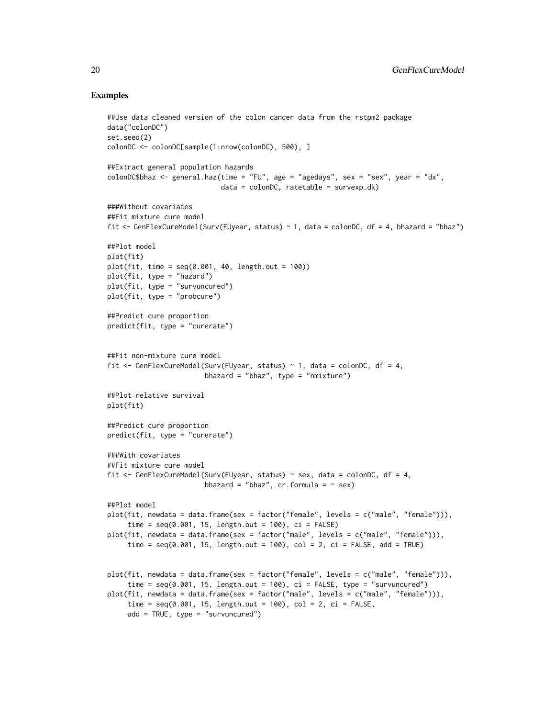```
##Use data cleaned version of the colon cancer data from the rstpm2 package
data("colonDC")
set.seed(2)
colonDC <- colonDC[sample(1:nrow(colonDC), 500), ]
##Extract general population hazards
colonDC$bhaz <- general.haz(time = "FU", age = "agedays", sex = "sex", year = "dx",
                            data = colonDC, ratetable = survexp.dk)
###Without covariates
##Fit mixture cure model
fit <- GenFlexCureModel(Surv(FUyear, status) ~ 1, data = colonDC, df = 4, bhazard = "bhaz")
##Plot model
plot(fit)
plot(fit, time = seq(0.001, 40, length.out = 100))
plot(fit, type = "hazard")
plot(fit, type = "survuncured")
plot(fit, type = "probcure")
##Predict cure proportion
predict(fit, type = "curerate")
##Fit non-mixture cure model
fit <- GenFlexCureModel(Surv(FUyear, status) ~ 1, data = colonDC, df = 4,
                        bhazard = "bhaz", type = "nmixture")
##Plot relative survival
plot(fit)
##Predict cure proportion
predict(fit, type = "curerate")
###With covariates
##Fit mixture cure model
fit <- GenFlexCureModel(Surv(FUyear, status) ~ sex, data = colonDC, df = 4,
                        bhazard = "bhaz", cr.formula = ~ sex)
##Plot model
plot(fit, newdata = data.frame(sex = factor("female", levels = c("male", "female"))),
     time = seq(0.001, 15, length.out = 100), ci = FALSE)plot(fit, newdata = data.frame(sex = factor("male", levels = c("male", "female"))),
     time = seq(0.001, 15, length.out = 100), col = 2, ci = FALSE, add = TRUE)
plot(fit, newdata = data.frame(sex = factor("female", levels = c("male", "female"))),
     time = seq(0.001, 15, length.out = 100), ci = FALSE, type = "survuncured")plot(fit, newdata = data.frame(sex = factor("male", levels = c("male", "female"))),
     time = seq(0.001, 15, length.out = 100), col = 2, ci = FALSE,
     add = TRUE, type = "survuncured")
```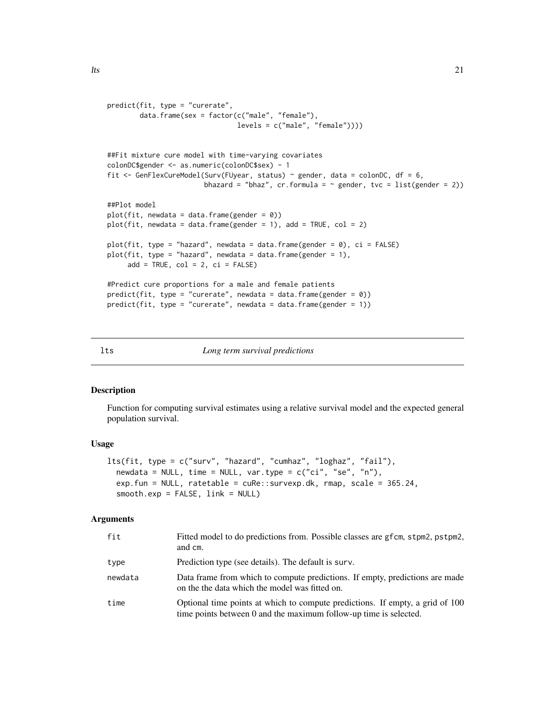```
predict(fit, type = "curerate",
       data.frame(sex = factor(c("male", "female"),
                                levels = c("male", "female"))))
##Fit mixture cure model with time-varying covariates
colonDC$gender <- as.numeric(colonDC$sex) - 1
fit \leq GenFlexCureModel(Surv(FUyear, status) \sim gender, data = colonDC, df = 6,
                       bhazard = "bhaz", cr.formula = \sim gender, tvc = list(gender = 2))
##Plot model
plot(fit, newdata = data.frame(gender = 0))plot(fit, newdata = data.frame(gender = 1), add = TRUE, col = 2)plot(fit, type = "hazard", newdata = data.frame(gender = 0), ci = FALSE)
plot(fit, type = "hazard", newdata = data.frame(gender = 1),
     add = TRUE, col = 2, ci = FALSE)#Predict cure proportions for a male and female patients
predict(fit, type = "currente", newdata = data-frame(gender = 0))predict(fit, type = "currente", newdata = data-frame(gender = 1))
```
#### lts *Long term survival predictions*

#### Description

Function for computing survival estimates using a relative survival model and the expected general population survival.

#### Usage

```
lts(fit, type = c("surv", "hazard", "cumhaz", "loghaz", "fail"),
  newdata = NULL, time = NULL, var.type = c("ci", "se", "n"),
  exp.fun = NULL, ratetable = cuRe::survexp.dk, rmap, scale = 365.24,
  smooth.exp = FALSE, link = NULL)
```

| fit     | Fitted model to do predictions from. Possible classes are gfcm, stpm2, pstpm2,<br>and cm.                                                          |
|---------|----------------------------------------------------------------------------------------------------------------------------------------------------|
| type    | Prediction type (see details). The default is surv.                                                                                                |
| newdata | Data frame from which to compute predictions. If empty, predictions are made<br>on the the data which the model was fitted on.                     |
| time    | Optional time points at which to compute predictions. If empty, a grid of 100<br>time points between 0 and the maximum follow-up time is selected. |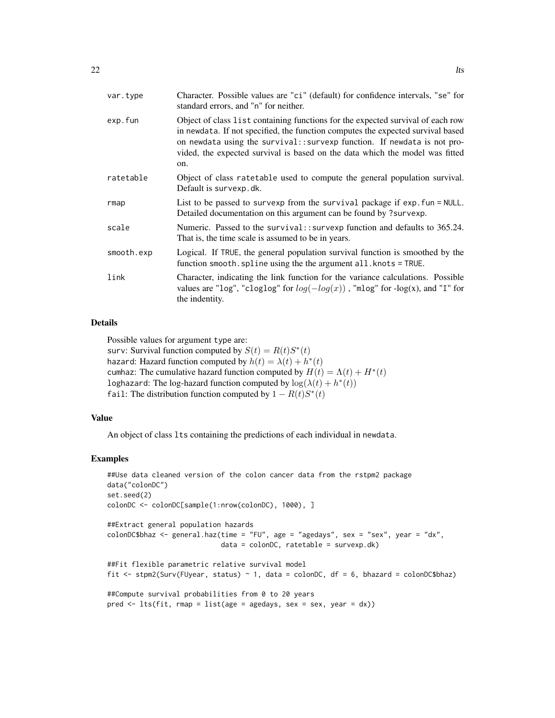| var.type   | Character. Possible values are "ci" (default) for confidence intervals, "se" for<br>standard errors, and "n" for neither.                                                                                                                                                                                                             |
|------------|---------------------------------------------------------------------------------------------------------------------------------------------------------------------------------------------------------------------------------------------------------------------------------------------------------------------------------------|
| exp.fun    | Object of class list containing functions for the expected survival of each row<br>in newdata. If not specified, the function computes the expected survival based<br>on newdata using the survival:: survexp function. If newdata is not pro-<br>vided, the expected survival is based on the data which the model was fitted<br>on. |
| ratetable  | Object of class ratetable used to compute the general population survival.<br>Default is survexp.dk.                                                                                                                                                                                                                                  |
| rmap       | List to be passed to survexp from the survival package if exp. fun = NULL.<br>Detailed documentation on this argument can be found by ?survexp.                                                                                                                                                                                       |
| scale      | Numeric. Passed to the survival:: survexp function and defaults to 365.24.<br>That is, the time scale is assumed to be in years.                                                                                                                                                                                                      |
| smooth.exp | Logical. If TRUE, the general population survival function is smoothed by the<br>function smooth. spline using the the argument all. knots = TRUE.                                                                                                                                                                                    |
| link       | Character, indicating the link function for the variance calculations. Possible<br>values are "log", "cloglog" for $log(-log(x))$ , "mlog" for $-log(x)$ , and "I" for<br>the indentity.                                                                                                                                              |

#### Details

Possible values for argument type are:

surv: Survival function computed by  $S(t) = R(t)S^{*}(t)$ hazard: Hazard function computed by  $h(t) = \lambda(t) + h^*(t)$ cumhaz: The cumulative hazard function computed by  $H(t) = \Lambda(t) + H^*(t)$ loghazard: The log-hazard function computed by  $log(\lambda(t) + h^*(t))$ fail: The distribution function computed by  $1 - R(t)S^*(t)$ 

# Value

An object of class lts containing the predictions of each individual in newdata.

```
##Use data cleaned version of the colon cancer data from the rstpm2 package
data("colonDC")
set.seed(2)
colonDC <- colonDC[sample(1:nrow(colonDC), 1000), ]
##Extract general population hazards
colonDC$bhaz <- general.haz(time = "FU", age = "agedays", sex = "sex", year = "dx",
                            data = colonDC, ratetable = survexp.dk)
##Fit flexible parametric relative survival model
fit <- stpm2(Surv(FUyear, status) ~ 1, data = colonDC, df = 6, bhazard = colonDC$bhaz)
##Compute survival probabilities from 0 to 20 years
pred \le lts(fit, rmap = list(age = agedays, sex = sex, year = dx))
```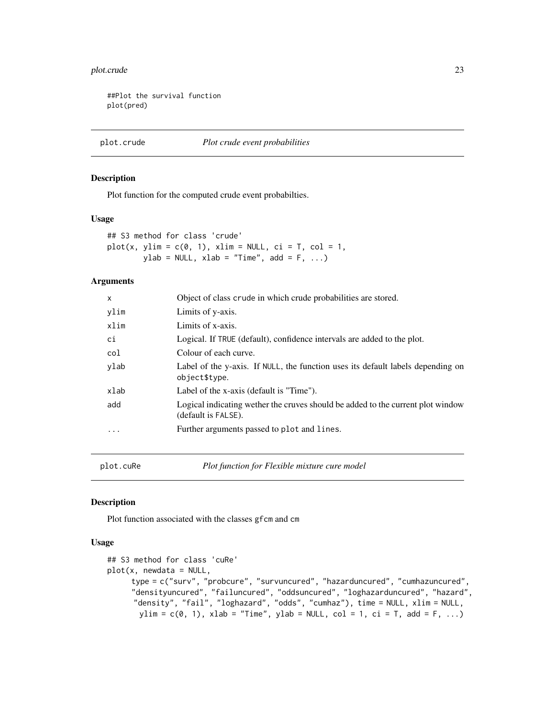#### <span id="page-22-0"></span>plot.crude 23

##Plot the survival function plot(pred)

plot.crude *Plot crude event probabilities*

# Description

Plot function for the computed crude event probabilties.

#### Usage

## S3 method for class 'crude'  $plot(x, ylim = c(0, 1), xlim = NULL, ci = T, col = 1,$  $ylab = NULL, xlab = "Time", add = F, ...)$ 

#### Arguments

| X    | Object of class crude in which crude probabilities are stored.                                         |
|------|--------------------------------------------------------------------------------------------------------|
| ylim | Limits of y-axis.                                                                                      |
| xlim | Limits of x-axis.                                                                                      |
| сi   | Logical. If TRUE (default), confidence intervals are added to the plot.                                |
| col  | Colour of each curve.                                                                                  |
| ylab | Label of the y-axis. If NULL, the function uses its default labels depending on<br>object\$type.       |
| xlab | Label of the x-axis (default is "Time").                                                               |
| add  | Logical indicating wether the cruves should be added to the current plot window<br>(default is FALSE). |
| .    | Further arguments passed to plot and lines.                                                            |
|      |                                                                                                        |
|      |                                                                                                        |

plot.cuRe *Plot function for Flexible mixture cure model*

#### Description

Plot function associated with the classes gfcm and cm

#### Usage

```
## S3 method for class 'cuRe'
plot(x, newdata = NULL,type = c("surv", "probcure", "survuncured", "hazarduncured", "cumhazuncured",
     "densityuncured", "failuncured", "oddsuncured", "loghazarduncured", "hazard",
     "density", "fail", "loghazard", "odds", "cumhaz"), time = NULL, xlim = NULL,
       ylim = c(0, 1), xlab = "Time", ylab = NULL, col = 1, ci = T, add = F, ...)
```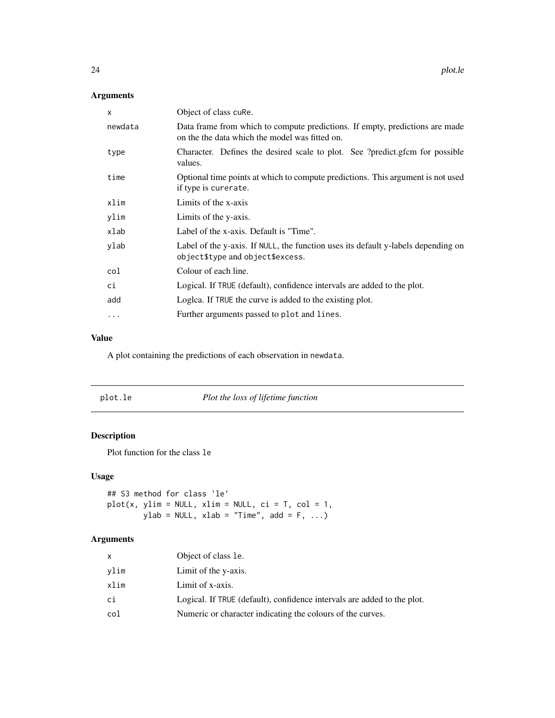# <span id="page-23-0"></span>Arguments

| Data frame from which to compute predictions. If empty, predictions are made      |
|-----------------------------------------------------------------------------------|
|                                                                                   |
| Character. Defines the desired scale to plot. See ?predict.gfcm for possible      |
| Optional time points at which to compute predictions. This argument is not used   |
|                                                                                   |
|                                                                                   |
|                                                                                   |
| Label of the y-axis. If NULL, the function uses its default y-labels depending on |
|                                                                                   |
|                                                                                   |
|                                                                                   |
|                                                                                   |
|                                                                                   |

#### Value

A plot containing the predictions of each observation in newdata.

| plot.le | Plot the loss of lifetime function |
|---------|------------------------------------|
|---------|------------------------------------|

# Description

Plot function for the class le

# Usage

```
## S3 method for class 'le'
plot(x, ylim = NULL, xlim = NULL, ci = T, col = 1,ylab = NULL, xlab = "Time", add = F, ...)
```

| x    | Object of class le.                                                     |
|------|-------------------------------------------------------------------------|
| vlim | Limit of the y-axis.                                                    |
| xlim | Limit of x-axis.                                                        |
| сi   | Logical. If TRUE (default), confidence intervals are added to the plot. |
| col  | Numeric or character indicating the colours of the curves.              |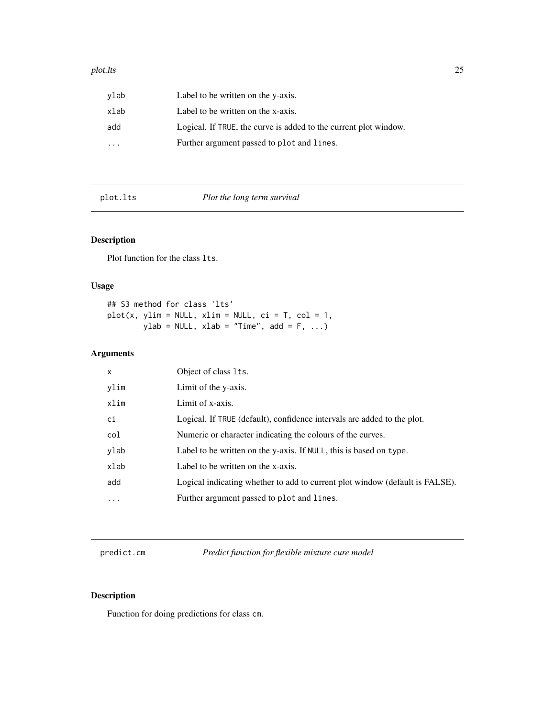#### <span id="page-24-0"></span>plot.lts 25

| vlab      | Label to be written on the y-axis.                               |
|-----------|------------------------------------------------------------------|
| xlab      | Label to be written on the x-axis.                               |
| add       | Logical. If TRUE, the curve is added to the current plot window. |
| $\ddotsc$ | Further argument passed to plot and lines.                       |

plot.lts *Plot the long term survival*

# Description

Plot function for the class lts.

# Usage

## S3 method for class 'lts'  $plot(x, ylim = NULL, xlim = NULL, ci = T, col = 1,$  $ylab = NULL, xlab = "Time", add = F, ...)$ 

# Arguments

| x        | Object of class 1ts.                                                         |
|----------|------------------------------------------------------------------------------|
| vlim     | Limit of the y-axis.                                                         |
| xlim     | Limit of x-axis.                                                             |
| сi       | Logical. If TRUE (default), confidence intervals are added to the plot.      |
| col      | Numeric or character indicating the colours of the curves.                   |
| ylab     | Label to be written on the y-axis. If NULL, this is based on type.           |
| xlab     | Label to be written on the x-axis.                                           |
| add      | Logical indicating whether to add to current plot window (default is FALSE). |
| $\cdots$ | Further argument passed to plot and lines.                                   |

predict.cm *Predict function for flexible mixture cure model*

# Description

Function for doing predictions for class cm.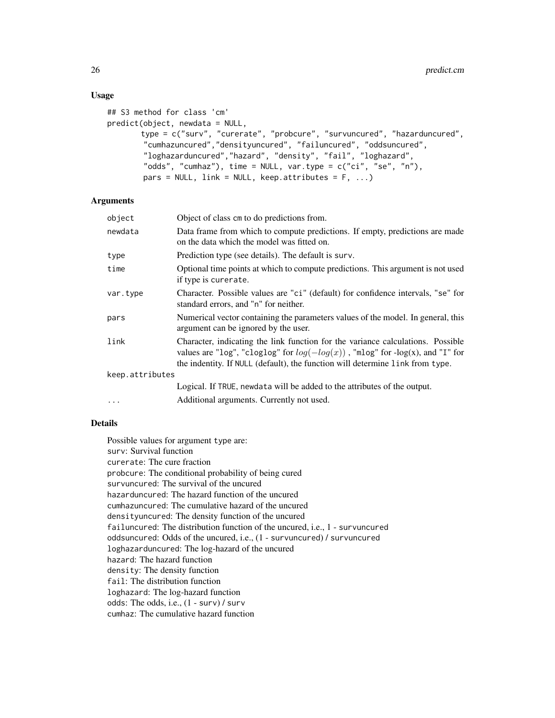# Usage

```
## S3 method for class 'cm'
predict(object, newdata = NULL,
       type = c("surv", "curerate", "probcure", "survuncured", "hazarduncured",
        "cumhazuncured","densityuncured", "failuncured", "oddsuncured",
        "loghazarduncured","hazard", "density", "fail", "loghazard",
        "odds", "cumhaz"), time = NULL, var.type = c("ci", "se", "n"),pars = NULL, link = NULL, keep.attributes = F, ...)
```
# Arguments

| object          | Object of class cm to do predictions from.                                                                                                                                                                                                           |
|-----------------|------------------------------------------------------------------------------------------------------------------------------------------------------------------------------------------------------------------------------------------------------|
| newdata         | Data frame from which to compute predictions. If empty, predictions are made<br>on the data which the model was fitted on.                                                                                                                           |
| type            | Prediction type (see details). The default is surv.                                                                                                                                                                                                  |
| time            | Optional time points at which to compute predictions. This argument is not used<br>if type is curerate.                                                                                                                                              |
| var.type        | Character. Possible values are "ci" (default) for confidence intervals, "se" for<br>standard errors, and "n" for neither.                                                                                                                            |
| pars            | Numerical vector containing the parameters values of the model. In general, this<br>argument can be ignored by the user.                                                                                                                             |
| link            | Character, indicating the link function for the variance calculations. Possible<br>values are "log", "cloglog" for $log(-log(x))$ , "mlog" for -log(x), and "I" for<br>the indentity. If NULL (default), the function will determine link from type. |
| keep.attributes |                                                                                                                                                                                                                                                      |
|                 | Logical. If TRUE, newdata will be added to the attributes of the output.                                                                                                                                                                             |
| $\cdots$        | Additional arguments. Currently not used.                                                                                                                                                                                                            |

# Details

Possible values for argument type are: surv: Survival function curerate: The cure fraction probcure: The conditional probability of being cured survuncured: The survival of the uncured hazarduncured: The hazard function of the uncured cumhazuncured: The cumulative hazard of the uncured densityuncured: The density function of the uncured failuncured: The distribution function of the uncured, i.e., 1 - survuncured oddsuncured: Odds of the uncured, i.e., (1 - survuncured) / survuncured loghazarduncured: The log-hazard of the uncured hazard: The hazard function density: The density function fail: The distribution function loghazard: The log-hazard function odds: The odds, i.e., (1 - surv) / surv cumhaz: The cumulative hazard function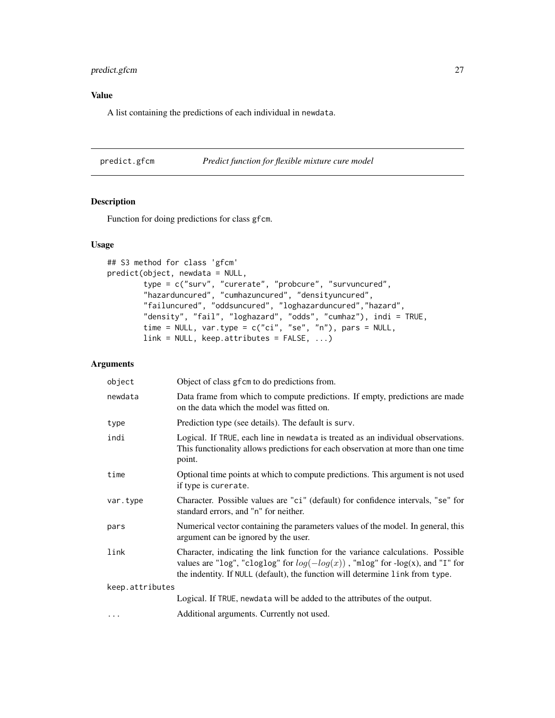# <span id="page-26-0"></span>predict.gfcm 27

# Value

A list containing the predictions of each individual in newdata.

predict.gfcm *Predict function for flexible mixture cure model*

# Description

Function for doing predictions for class gfcm.

# Usage

```
## S3 method for class 'gfcm'
predict(object, newdata = NULL,
       type = c("surv", "curerate", "probcure", "survuncured",
       "hazarduncured", "cumhazuncured", "densityuncured",
        "failuncured", "oddsuncured", "loghazarduncured","hazard",
        "density", "fail", "loghazard", "odds", "cumhaz"), indi = TRUE,
        time = NULL, var.type = c("ci", "se", "n"), pars = NULL,link = NULL, keep.attributes = FALSE, ...)
```

| object          | Object of class g f cm to do predictions from.                                                                                                                                                                                                       |
|-----------------|------------------------------------------------------------------------------------------------------------------------------------------------------------------------------------------------------------------------------------------------------|
| newdata         | Data frame from which to compute predictions. If empty, predictions are made<br>on the data which the model was fitted on.                                                                                                                           |
| type            | Prediction type (see details). The default is surv.                                                                                                                                                                                                  |
| indi            | Logical. If TRUE, each line in newdata is treated as an individual observations.<br>This functionality allows predictions for each observation at more than one time<br>point.                                                                       |
| time            | Optional time points at which to compute predictions. This argument is not used<br>if type is curerate.                                                                                                                                              |
| var.type        | Character. Possible values are "ci" (default) for confidence intervals, "se" for<br>standard errors, and "n" for neither.                                                                                                                            |
| pars            | Numerical vector containing the parameters values of the model. In general, this<br>argument can be ignored by the user.                                                                                                                             |
| link            | Character, indicating the link function for the variance calculations. Possible<br>values are "log", "cloglog" for $log(-log(x))$ , "mlog" for -log(x), and "I" for<br>the indentity. If NULL (default), the function will determine link from type. |
| keep.attributes |                                                                                                                                                                                                                                                      |
|                 | Logical. If TRUE, newdata will be added to the attributes of the output.                                                                                                                                                                             |
| $\cdots$        | Additional arguments. Currently not used.                                                                                                                                                                                                            |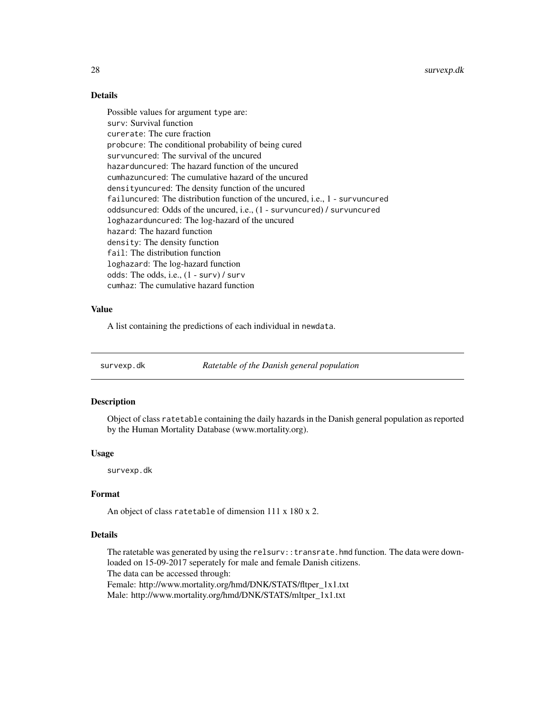<span id="page-27-0"></span>28 survexp.dk

# Details

Possible values for argument type are: surv: Survival function curerate: The cure fraction probcure: The conditional probability of being cured survuncured: The survival of the uncured hazarduncured: The hazard function of the uncured cumhazuncured: The cumulative hazard of the uncured densityuncured: The density function of the uncured failuncured: The distribution function of the uncured, i.e., 1 - survuncured oddsuncured: Odds of the uncured, i.e., (1 - survuncured) / survuncured loghazarduncured: The log-hazard of the uncured hazard: The hazard function density: The density function fail: The distribution function loghazard: The log-hazard function odds: The odds, i.e., (1 - surv) / surv cumhaz: The cumulative hazard function

# Value

A list containing the predictions of each individual in newdata.

survexp.dk *Ratetable of the Danish general population*

#### Description

Object of class ratetable containing the daily hazards in the Danish general population as reported by the Human Mortality Database (www.mortality.org).

#### Usage

survexp.dk

#### Format

An object of class ratetable of dimension 111 x 180 x 2.

# Details

The ratetable was generated by using the relsurv::transrate.hmd function. The data were downloaded on 15-09-2017 seperately for male and female Danish citizens.

The data can be accessed through:

Female: http://www.mortality.org/hmd/DNK/STATS/fltper\_1x1.txt Male: http://www.mortality.org/hmd/DNK/STATS/mltper\_1x1.txt